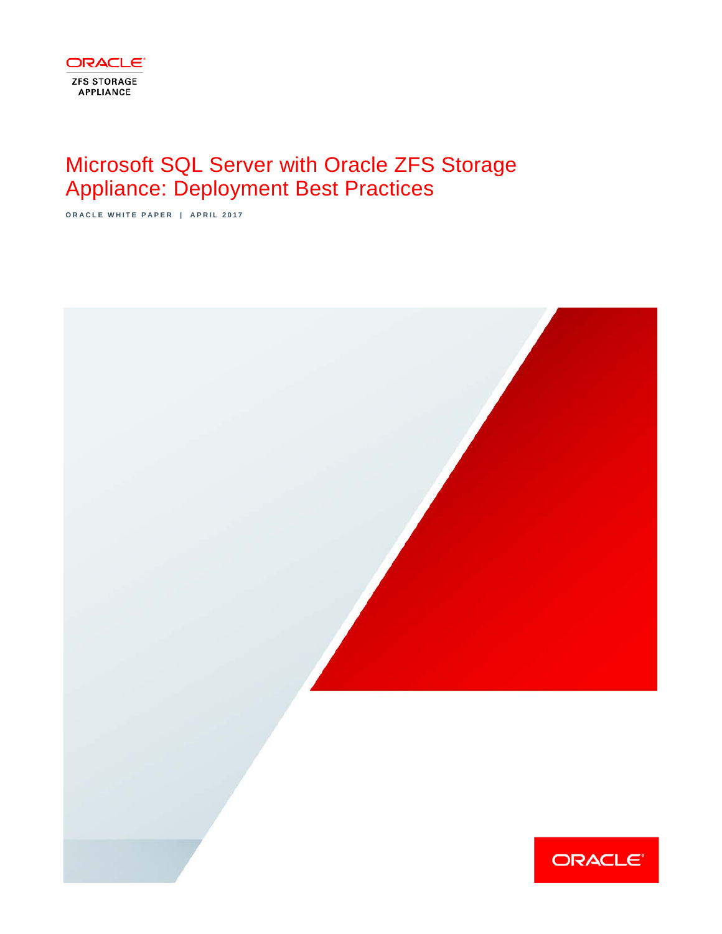

# Microsoft SQL Server with Oracle ZFS Storage Appliance: Deployment Best Practices

**ORACLE WHITE PAPER | APRIL 2017**

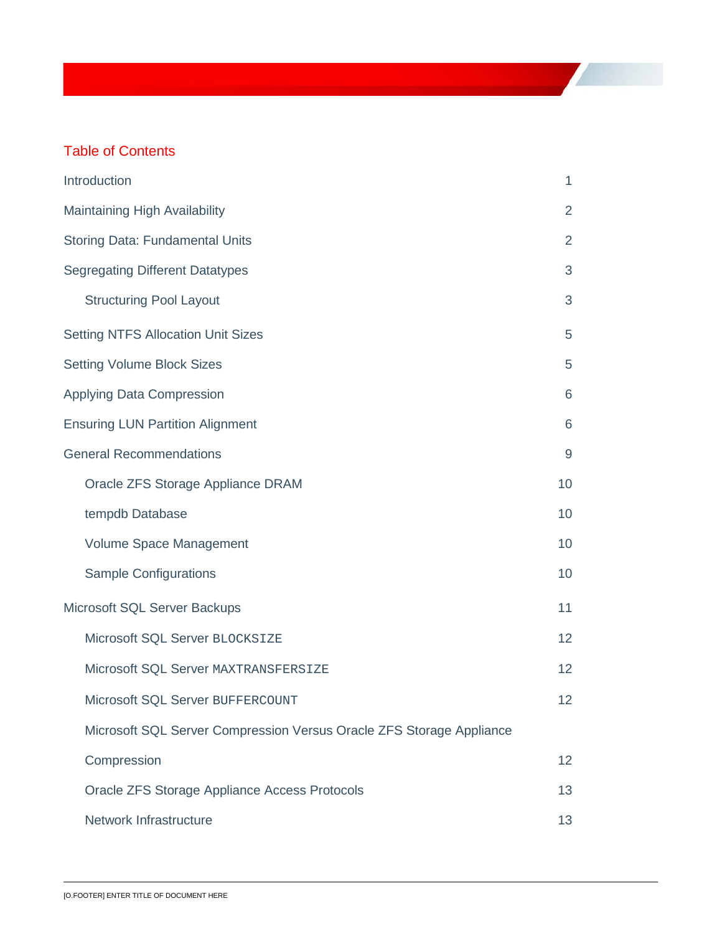# Table of Contents

| Introduction                                                         | 1                |  |  |  |  |
|----------------------------------------------------------------------|------------------|--|--|--|--|
| Maintaining High Availability                                        |                  |  |  |  |  |
| <b>Storing Data: Fundamental Units</b>                               | $\overline{2}$   |  |  |  |  |
| <b>Segregating Different Datatypes</b>                               | 3                |  |  |  |  |
| <b>Structuring Pool Layout</b>                                       | 3                |  |  |  |  |
| <b>Setting NTFS Allocation Unit Sizes</b>                            | 5                |  |  |  |  |
| <b>Setting Volume Block Sizes</b>                                    | 5                |  |  |  |  |
| <b>Applying Data Compression</b>                                     | 6                |  |  |  |  |
| <b>Ensuring LUN Partition Alignment</b>                              | 6                |  |  |  |  |
| <b>General Recommendations</b>                                       | $\boldsymbol{9}$ |  |  |  |  |
| Oracle ZFS Storage Appliance DRAM                                    | 10               |  |  |  |  |
| tempdb Database                                                      | 10               |  |  |  |  |
| Volume Space Management                                              | 10               |  |  |  |  |
| <b>Sample Configurations</b>                                         | 10               |  |  |  |  |
| Microsoft SQL Server Backups                                         | 11               |  |  |  |  |
| Microsoft SQL Server BLOCKSIZE                                       | 12               |  |  |  |  |
| Microsoft SQL Server MAXTRANSFERSIZE                                 | 12               |  |  |  |  |
| Microsoft SQL Server BUFFERCOUNT                                     | 12               |  |  |  |  |
| Microsoft SQL Server Compression Versus Oracle ZFS Storage Appliance |                  |  |  |  |  |
| Compression                                                          | 12               |  |  |  |  |
| Oracle ZFS Storage Appliance Access Protocols                        | 13               |  |  |  |  |
| Network Infrastructure                                               | 13               |  |  |  |  |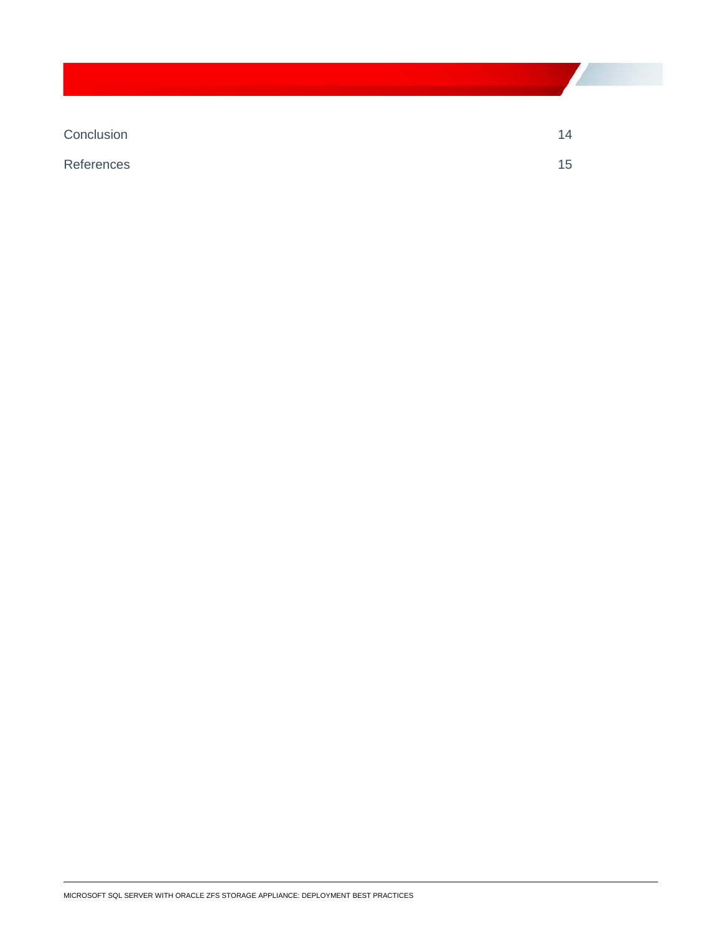[Conclusion](#page-16-0) 2014

[References](#page-17-0) 15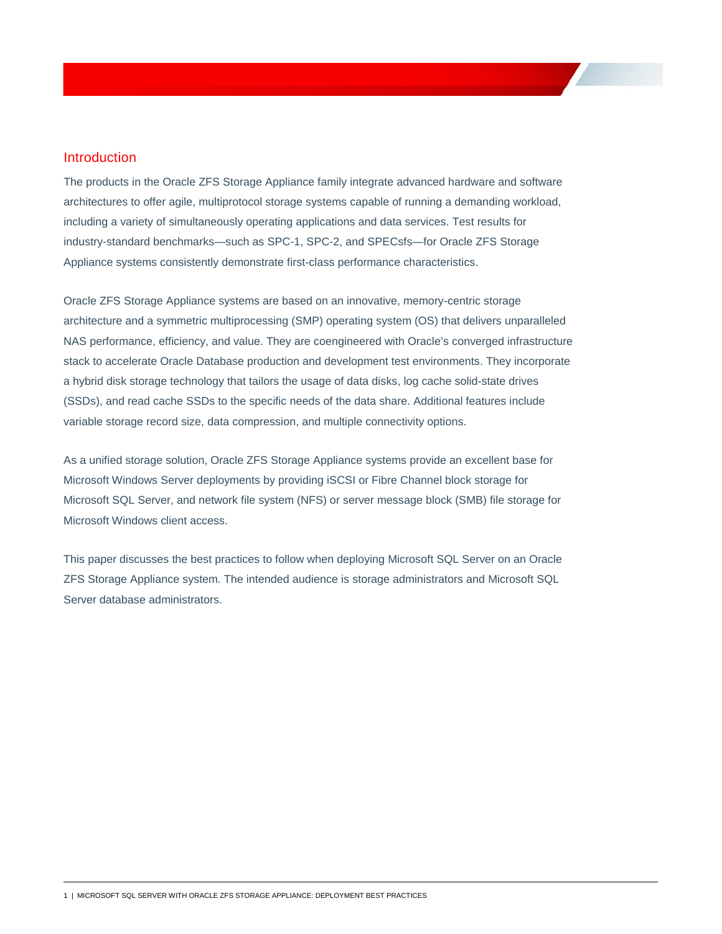# <span id="page-3-0"></span>**Introduction**

The products in the Oracle ZFS Storage Appliance family integrate advanced hardware and software architectures to offer agile, multiprotocol storage systems capable of running a demanding workload, including a variety of simultaneously operating applications and data services. Test results for industry-standard benchmarks—such as SPC-1, SPC-2, and SPECsfs—for Oracle ZFS Storage Appliance systems consistently demonstrate first-class performance characteristics.

Oracle ZFS Storage Appliance systems are based on an innovative, memory-centric storage architecture and a symmetric multiprocessing (SMP) operating system (OS) that delivers unparalleled NAS performance, efficiency, and value. They are coengineered with Oracle's converged infrastructure stack to accelerate Oracle Database production and development test environments. They incorporate a hybrid disk storage technology that tailors the usage of data disks, log cache solid-state drives (SSDs), and read cache SSDs to the specific needs of the data share. Additional features include variable storage record size, data compression, and multiple connectivity options.

As a unified storage solution, Oracle ZFS Storage Appliance systems provide an excellent base for Microsoft Windows Server deployments by providing iSCSI or Fibre Channel block storage for Microsoft SQL Server, and network file system (NFS) or server message block (SMB) file storage for Microsoft Windows client access.

This paper discusses the best practices to follow when deploying Microsoft SQL Server on an Oracle ZFS Storage Appliance system. The intended audience is storage administrators and Microsoft SQL Server database administrators.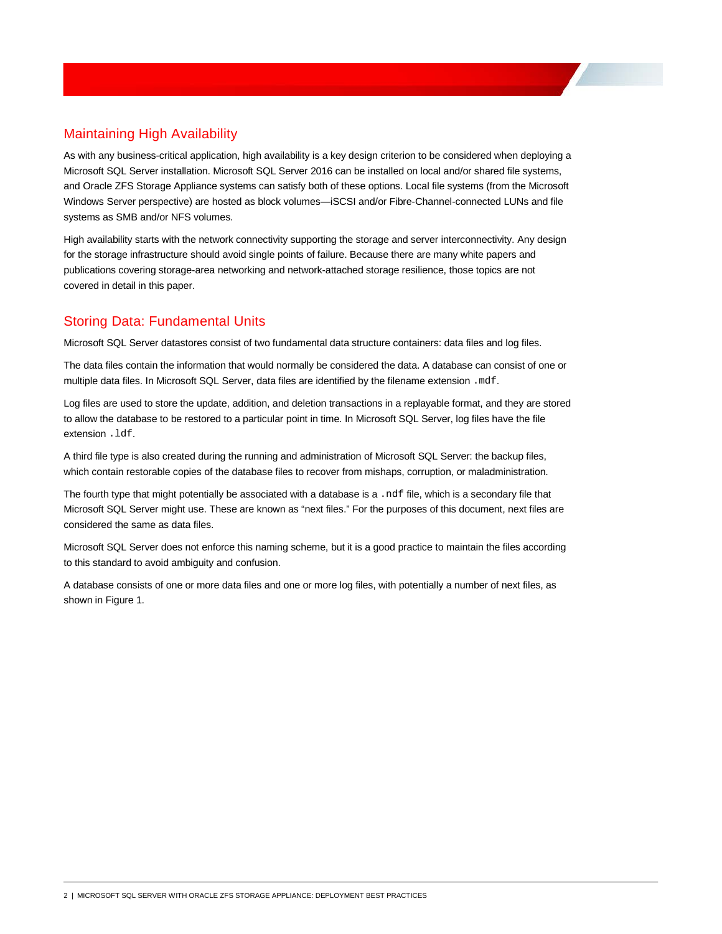# <span id="page-4-0"></span>Maintaining High Availability

As with any business-critical application, high availability is a key design criterion to be considered when deploying a Microsoft SQL Server installation. Microsoft SQL Server 2016 can be installed on local and/or shared file systems, and Oracle ZFS Storage Appliance systems can satisfy both of these options. Local file systems (from the Microsoft Windows Server perspective) are hosted as block volumes—iSCSI and/or Fibre-Channel-connected LUNs and file systems as SMB and/or NFS volumes.

High availability starts with the network connectivity supporting the storage and server interconnectivity. Any design for the storage infrastructure should avoid single points of failure. Because there are many white papers and publications covering storage-area networking and network-attached storage resilience, those topics are not covered in detail in this paper.

# <span id="page-4-1"></span>Storing Data: Fundamental Units

Microsoft SQL Server datastores consist of two fundamental data structure containers: data files and log files.

The data files contain the information that would normally be considered the data. A database can consist of one or multiple data files. In Microsoft SQL Server, data files are identified by the filename extension .mdf.

Log files are used to store the update, addition, and deletion transactions in a replayable format, and they are stored to allow the database to be restored to a particular point in time. In Microsoft SQL Server, log files have the file extension .ldf.

A third file type is also created during the running and administration of Microsoft SQL Server: the backup files, which contain restorable copies of the database files to recover from mishaps, corruption, or maladministration.

The fourth type that might potentially be associated with a database is a .ndf file, which is a secondary file that Microsoft SQL Server might use. These are known as "next files." For the purposes of this document, next files are considered the same as data files.

Microsoft SQL Server does not enforce this naming scheme, but it is a good practice to maintain the files according to this standard to avoid ambiguity and confusion.

A database consists of one or more data files and one or more log files, with potentially a number of next files, as shown in Figure 1.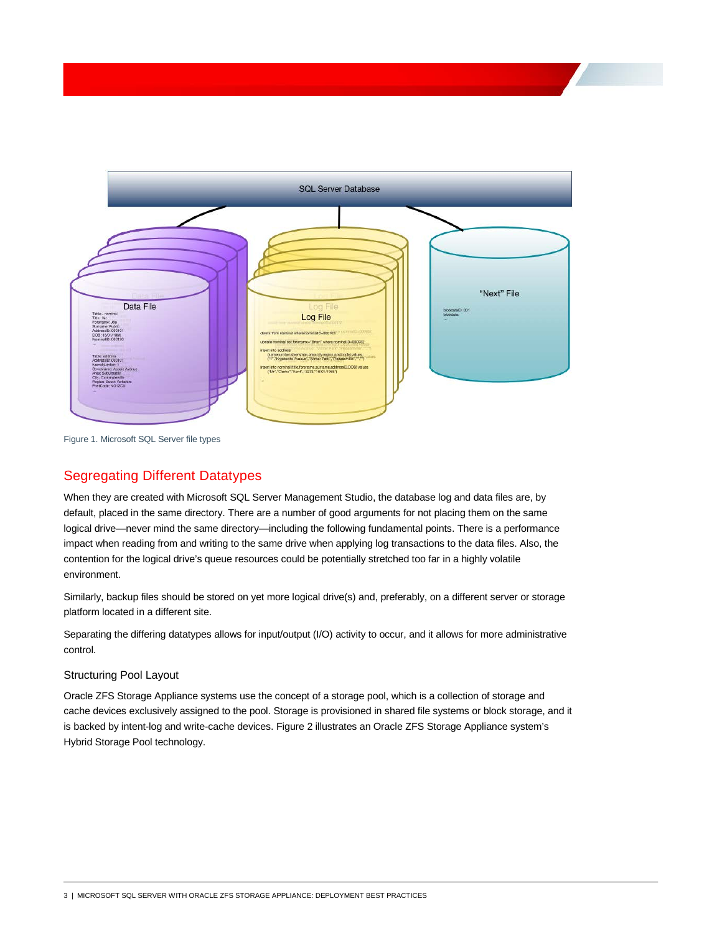

<span id="page-5-0"></span>Figure 1. Microsoft SQL Server file types

# Segregating Different Datatypes

When they are created with Microsoft SQL Server Management Studio, the database log and data files are, by default, placed in the same directory. There are a number of good arguments for not placing them on the same logical drive—never mind the same directory—including the following fundamental points. There is a performance impact when reading from and writing to the same drive when applying log transactions to the data files. Also, the contention for the logical drive's queue resources could be potentially stretched too far in a highly volatile environment.

Similarly, backup files should be stored on yet more logical drive(s) and, preferably, on a different server or storage platform located in a different site.

Separating the differing datatypes allows for input/output (I/O) activity to occur, and it allows for more administrative control.

### <span id="page-5-1"></span>Structuring Pool Layout

Oracle ZFS Storage Appliance systems use the concept of a storage pool, which is a collection of storage and cache devices exclusively assigned to the pool. Storage is provisioned in shared file systems or block storage, and it is backed by intent-log and write-cache devices. Figure 2 illustrates an Oracle ZFS Storage Appliance system's Hybrid Storage Pool technology.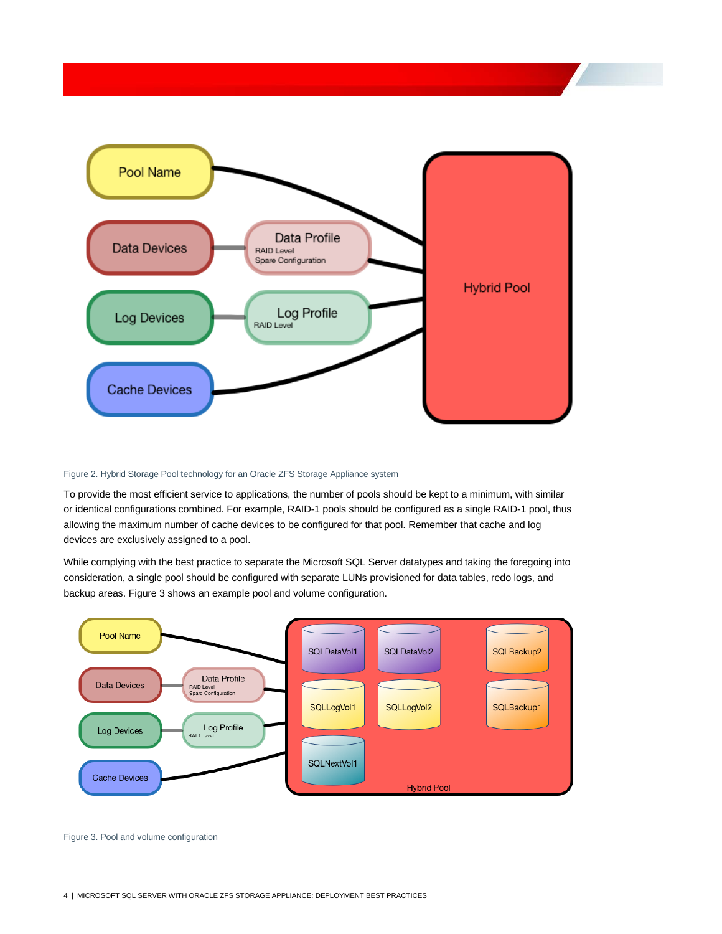

### Figure 2. Hybrid Storage Pool technology for an Oracle ZFS Storage Appliance system

To provide the most efficient service to applications, the number of pools should be kept to a minimum, with similar or identical configurations combined. For example, RAID-1 pools should be configured as a single RAID-1 pool, thus allowing the maximum number of cache devices to be configured for that pool. Remember that cache and log devices are exclusively assigned to a pool.

While complying with the best practice to separate the Microsoft SQL Server datatypes and taking the foregoing into consideration, a single pool should be configured with separate LUNs provisioned for data tables, redo logs, and backup areas. Figure 3 shows an example pool and volume configuration.



Figure 3. Pool and volume configuration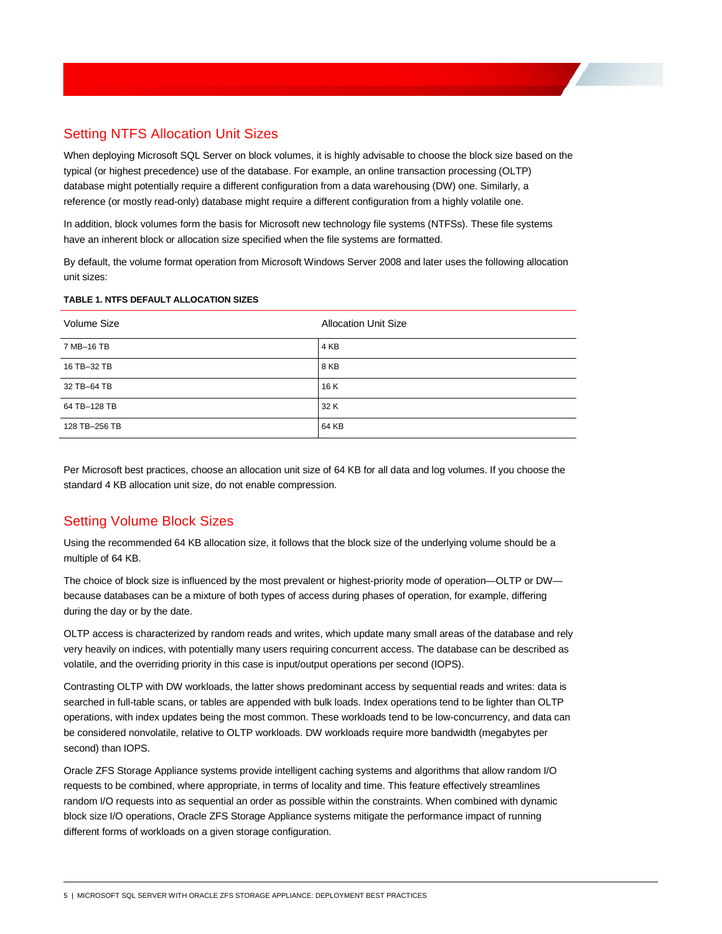# <span id="page-7-0"></span>Setting NTFS Allocation Unit Sizes

When deploying Microsoft SQL Server on block volumes, it is highly advisable to choose the block size based on the typical (or highest precedence) use of the database. For example, an online transaction processing (OLTP) database might potentially require a different configuration from a data warehousing (DW) one. Similarly, a reference (or mostly read-only) database might require a different configuration from a highly volatile one.

In addition, block volumes form the basis for Microsoft new technology file systems (NTFSs). These file systems have an inherent block or allocation size specified when the file systems are formatted.

By default, the volume format operation from Microsoft Windows Server 2008 and later uses the following allocation unit sizes:

### **TABLE 1. NTFS DEFAULT ALLOCATION SIZES**

| Volume Size   | <b>Allocation Unit Size</b> |
|---------------|-----------------------------|
| 7 MB-16 TB    | 4 KB                        |
| 16 TB-32 TB   | 8 KB                        |
| 32 TB-64 TB   | 16 K                        |
| 64 TB-128 TB  | 32 K                        |
| 128 TB-256 TB | 64 KB                       |

Per Microsoft best practices, choose an allocation unit size of 64 KB for all data and log volumes. If you choose the standard 4 KB allocation unit size, do not enable compression.

# <span id="page-7-1"></span>Setting Volume Block Sizes

Using the recommended 64 KB allocation size, it follows that the block size of the underlying volume should be a multiple of 64 KB.

The choice of block size is influenced by the most prevalent or highest-priority mode of operation—OLTP or DW because databases can be a mixture of both types of access during phases of operation, for example, differing during the day or by the date.

OLTP access is characterized by random reads and writes, which update many small areas of the database and rely very heavily on indices, with potentially many users requiring concurrent access. The database can be described as volatile, and the overriding priority in this case is input/output operations per second (IOPS).

Contrasting OLTP with DW workloads, the latter shows predominant access by sequential reads and writes: data is searched in full-table scans, or tables are appended with bulk loads. Index operations tend to be lighter than OLTP operations, with index updates being the most common. These workloads tend to be low-concurrency, and data can be considered nonvolatile, relative to OLTP workloads. DW workloads require more bandwidth (megabytes per second) than IOPS.

Oracle ZFS Storage Appliance systems provide intelligent caching systems and algorithms that allow random I/O requests to be combined, where appropriate, in terms of locality and time. This feature effectively streamlines random I/O requests into as sequential an order as possible within the constraints. When combined with dynamic block size I/O operations, Oracle ZFS Storage Appliance systems mitigate the performance impact of running different forms of workloads on a given storage configuration.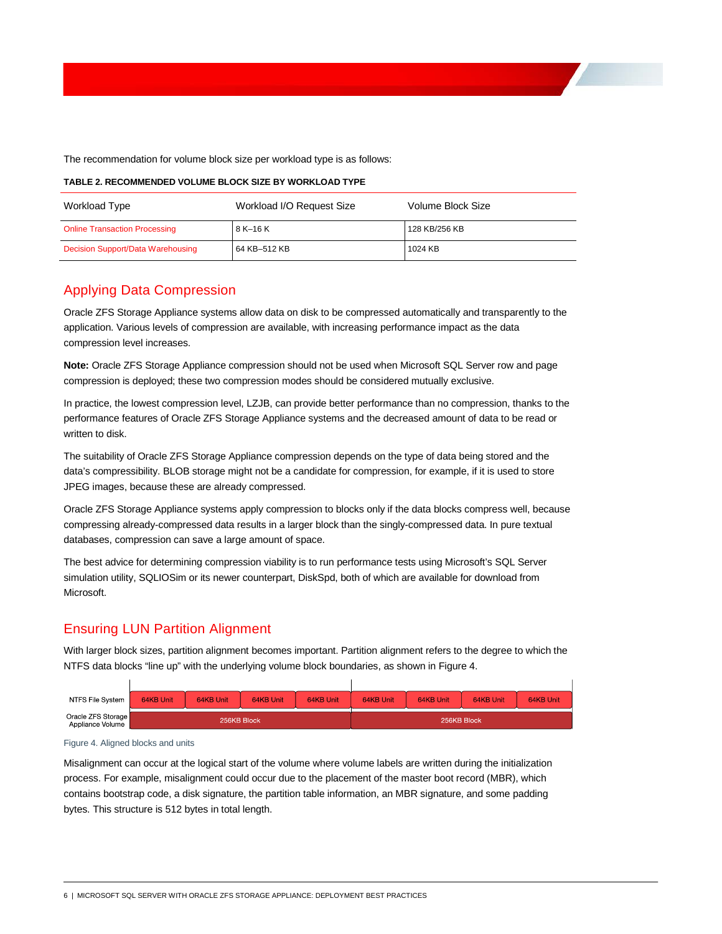The recommendation for volume block size per workload type is as follows:

| Workload Type                        | Workload I/O Request Size | Volume Block Size |
|--------------------------------------|---------------------------|-------------------|
| <b>Online Transaction Processing</b> | 8 K-16 K                  | 128 KB/256 KB     |
| Decision Support/Data Warehousing    | 64 KB-512 KB              | 1024 KB           |

### **TABLE 2. RECOMMENDED VOLUME BLOCK SIZE BY WORKLOAD TYPE**

# <span id="page-8-0"></span>Applying Data Compression

Oracle ZFS Storage Appliance systems allow data on disk to be compressed automatically and transparently to the application. Various levels of compression are available, with increasing performance impact as the data compression level increases.

**Note:** Oracle ZFS Storage Appliance compression should not be used when Microsoft SQL Server row and page compression is deployed; these two compression modes should be considered mutually exclusive.

In practice, the lowest compression level, LZJB, can provide better performance than no compression, thanks to the performance features of Oracle ZFS Storage Appliance systems and the decreased amount of data to be read or written to disk.

The suitability of Oracle ZFS Storage Appliance compression depends on the type of data being stored and the data's compressibility. BLOB storage might not be a candidate for compression, for example, if it is used to store JPEG images, because these are already compressed.

Oracle ZFS Storage Appliance systems apply compression to blocks only if the data blocks compress well, because compressing already-compressed data results in a larger block than the singly-compressed data. In pure textual databases, compression can save a large amount of space.

The best advice for determining compression viability is to run performance tests using Microsoft's SQL Server simulation utility, SQLIOSim or its newer counterpart, DiskSpd, both of which are available for download from Microsoft.

# <span id="page-8-1"></span>Ensuring LUN Partition Alignment

With larger block sizes, partition alignment becomes important. Partition alignment refers to the degree to which the NTFS data blocks "line up" with the underlying volume block boundaries, as shown in Figure 4.

| NTFS File System                       | 64KB Unit   | 64KB Unit | 64KB Unit | 64KB Unit | 64KB Unit | 64KB Unit   | 64KB Unit | 64KB Unit |
|----------------------------------------|-------------|-----------|-----------|-----------|-----------|-------------|-----------|-----------|
| Oracle ZFS Storage<br>Appliance Volume | 256KB Block |           |           |           |           | 256KB Block |           |           |

Figure 4. Aligned blocks and units

 $\mathbf{I}$ 

Misalignment can occur at the logical start of the volume where volume labels are written during the initialization process. For example, misalignment could occur due to the placement of the master boot record (MBR), which contains bootstrap code, a disk signature, the partition table information, an MBR signature, and some padding bytes. This structure is 512 bytes in total length.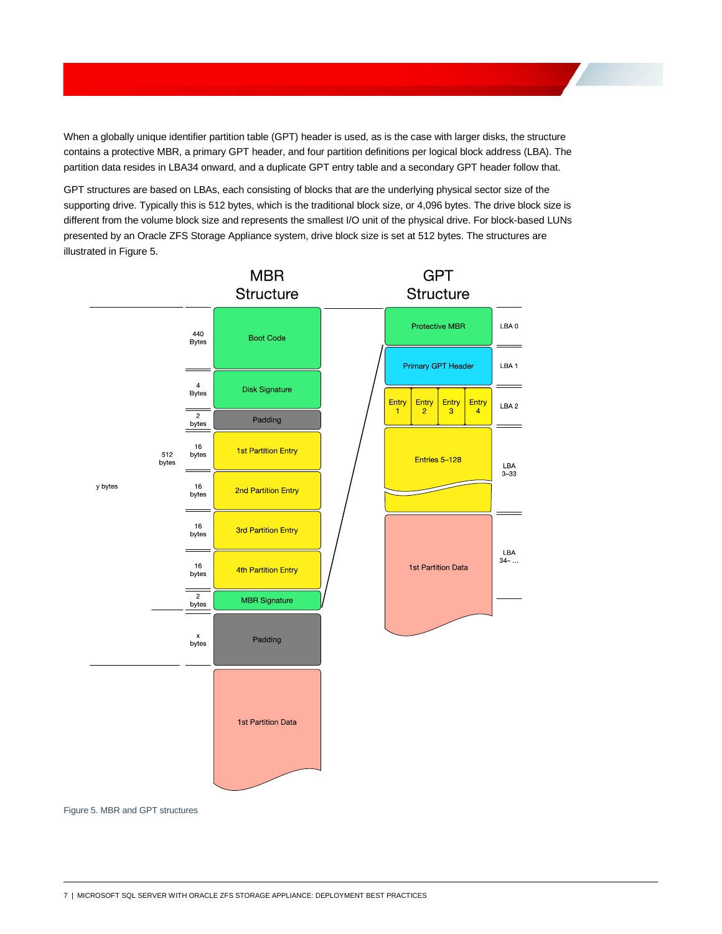When a globally unique identifier partition table (GPT) header is used, as is the case with larger disks, the structure contains a protective MBR, a primary GPT header, and four partition definitions per logical block address (LBA). The partition data resides in LBA34 onward, and a duplicate GPT entry table and a secondary GPT header follow that.

GPT structures are based on LBAs, each consisting of blocks that are the underlying physical sector size of the supporting drive. Typically this is 512 bytes, which is the traditional block size, or 4,096 bytes. The drive block size is different from the volume block size and represents the smallest I/O unit of the physical drive. For block-based LUNs presented by an Oracle ZFS Storage Appliance system, drive block size is set at 512 bytes. The structures are illustrated in Figure 5.



Figure 5. MBR and GPT structures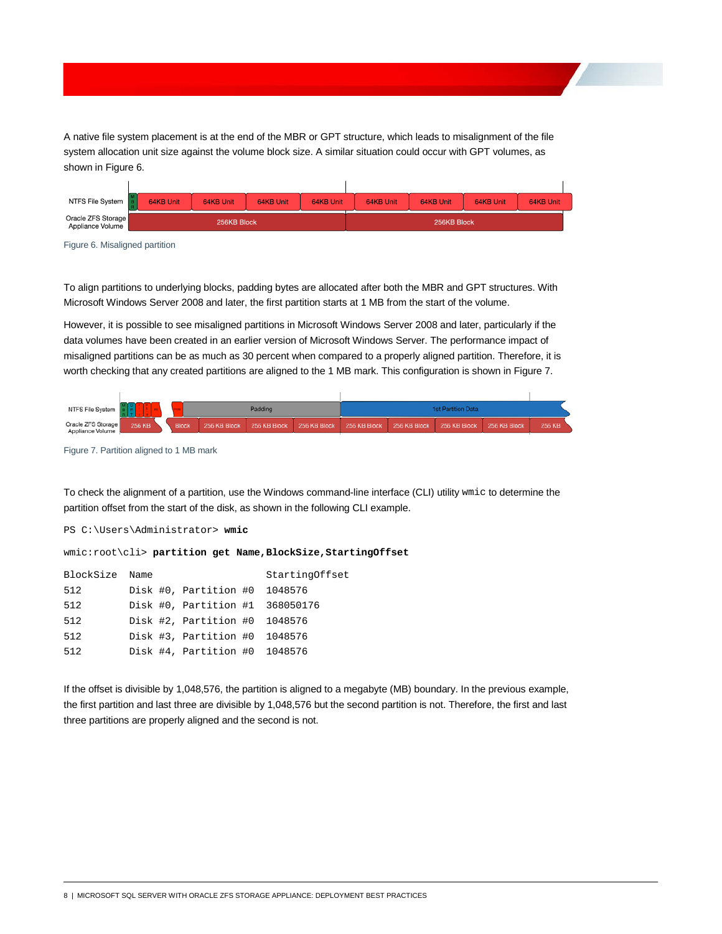A native file system placement is at the end of the MBR or GPT structure, which leads to misalignment of the file system allocation unit size against the volume block size. A similar situation could occur with GPT volumes, as shown in Figure 6.

| NTFS File System                       | 64KB Unit   | 64KB Unit | 64KB Unit | 64KB Unit | 64KB Unit | 64KB Unit   | 64KB Unit | 64KB Unit |
|----------------------------------------|-------------|-----------|-----------|-----------|-----------|-------------|-----------|-----------|
| Oracle ZFS Storage<br>Appliance Volume | 256KB Block |           |           |           |           | 256KB Block |           |           |

Figure 6. Misaligned partition

To align partitions to underlying blocks, padding bytes are allocated after both the MBR and GPT structures. With Microsoft Windows Server 2008 and later, the first partition starts at 1 MB from the start of the volume.

However, it is possible to see misaligned partitions in Microsoft Windows Server 2008 and later, particularly if the data volumes have been created in an earlier version of Microsoft Windows Server. The performance impact of misaligned partitions can be as much as 30 percent when compared to a properly aligned partition. Therefore, it is worth checking that any created partitions are aligned to the 1 MB mark. This configuration is shown in Figure 7.



Figure 7. Partition aligned to 1 MB mark

To check the alignment of a partition, use the Windows command-line interface (CLI) utility wmic to determine the partition offset from the start of the disk, as shown in the following CLI example.

PS C:\Users\Administrator> **wmic**

wmic:root\cli> **partition get Name,BlockSize,StartingOffset**

| BlockSize Name |  |                                 | StartingOffset |
|----------------|--|---------------------------------|----------------|
| 512            |  | Disk #0, Partition #0 1048576   |                |
| 512            |  | Disk #0, Partition #1 368050176 |                |
| 512            |  | Disk #2, Partition #0 1048576   |                |
| 512            |  | Disk #3, Partition #0 1048576   |                |
| 512            |  | Disk #4, Partition #0 1048576   |                |

If the offset is divisible by 1,048,576, the partition is aligned to a megabyte (MB) boundary. In the previous example, the first partition and last three are divisible by 1,048,576 but the second partition is not. Therefore, the first and last three partitions are properly aligned and the second is not.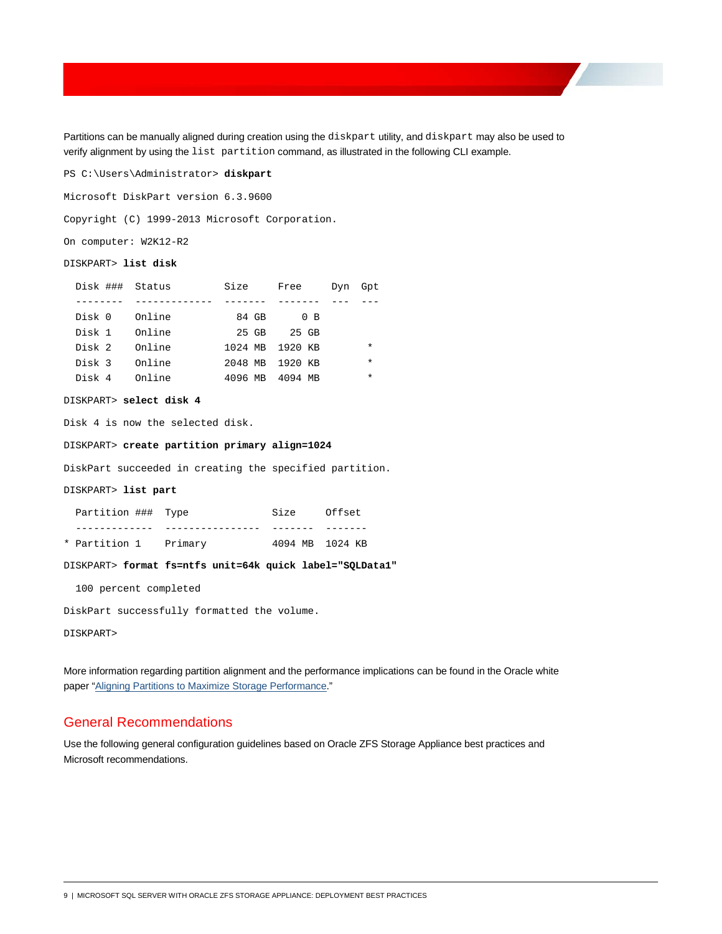Partitions can be manually aligned during creation using the diskpart utility, and diskpart may also be used to verify alignment by using the list partition command, as illustrated in the following CLI example.

PS C:\Users\Administrator> **diskpart**

Microsoft DiskPart version 6.3.9600

Copyright (C) 1999-2013 Microsoft Corporation.

On computer: W2K12-R2

#### DISKPART> **list disk**

| Disk ### Status |        | Size            | Free           | Dvn | Gpt     |
|-----------------|--------|-----------------|----------------|-----|---------|
|                 |        |                 |                |     |         |
| Disk 0          | Online | 84 GB           | 0 <sub>B</sub> |     |         |
| Disk 1          | Online | 25 GB           | 25 GB          |     |         |
| Disk 2          | Online | 1024 MB         | 1920 KB        |     | $\star$ |
| Disk 3          | Online | 2048 MB 1920 KB |                |     | $\star$ |
| Disk 4          | Online | 4096 MB         | 4094 MB        |     | $\star$ |

#### DISKPART> **select disk 4**

Disk 4 is now the selected disk.

DISKPART> **create partition primary align=1024**

DiskPart succeeded in creating the specified partition.

#### DISKPART> **list part**

| Partition ### Type |         | Size            | Offset |
|--------------------|---------|-----------------|--------|
|                    |         |                 |        |
| * Partition 1      | Primarv | 4094 MB 1024 KB |        |

DISKPART> **format fs=ntfs unit=64k quick label="SQLData1"**

100 percent completed

DiskPart successfully formatted the volume.

DISKPART>

More information regarding partition alignment and the performance implications can be found in the Oracle white paper ["Aligning Partitions to Maximize Storage Performance.](http://www.oracle.com/technetwork/server-storage/sun-unified-storage/documentation/partitionalign-111512-1875560.pdf)"

### <span id="page-11-0"></span>General Recommendations

Use the following general configuration guidelines based on Oracle ZFS Storage Appliance best practices and Microsoft recommendations.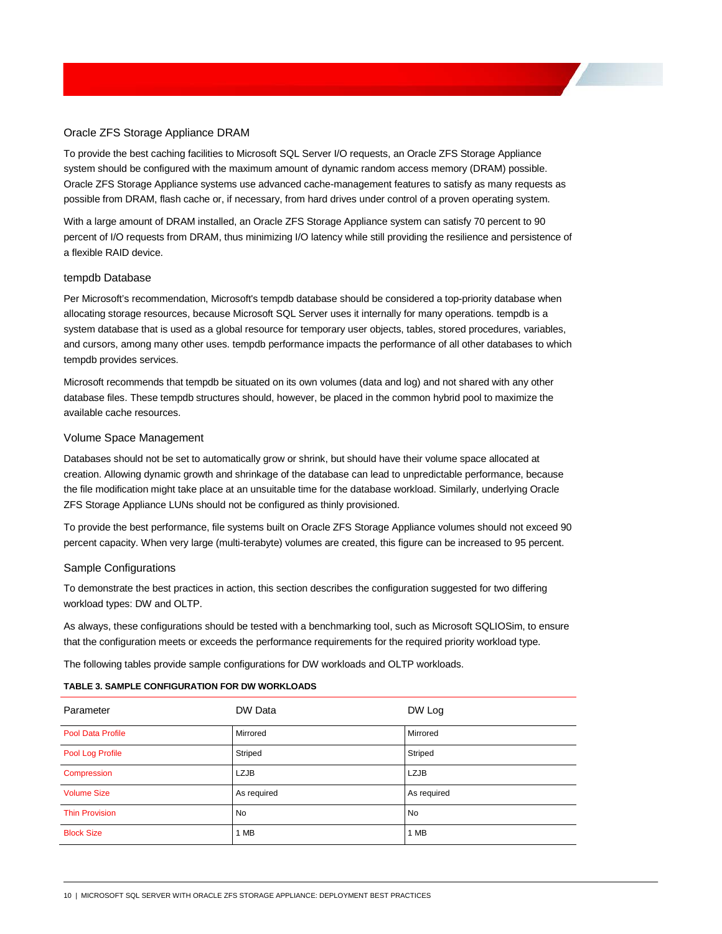### <span id="page-12-0"></span>Oracle ZFS Storage Appliance DRAM

To provide the best caching facilities to Microsoft SQL Server I/O requests, an Oracle ZFS Storage Appliance system should be configured with the maximum amount of dynamic random access memory (DRAM) possible. Oracle ZFS Storage Appliance systems use advanced cache-management features to satisfy as many requests as possible from DRAM, flash cache or, if necessary, from hard drives under control of a proven operating system.

With a large amount of DRAM installed, an Oracle ZFS Storage Appliance system can satisfy 70 percent to 90 percent of I/O requests from DRAM, thus minimizing I/O latency while still providing the resilience and persistence of a flexible RAID device.

#### <span id="page-12-1"></span>tempdb Database

Per Microsoft's recommendation, Microsoft's tempdb database should be considered a top-priority database when allocating storage resources, because Microsoft SQL Server uses it internally for many operations. tempdb is a system database that is used as a global resource for temporary user objects, tables, stored procedures, variables, and cursors, among many other uses. tempdb performance impacts the performance of all other databases to which tempdb provides services.

Microsoft recommends that tempdb be situated on its own volumes (data and log) and not shared with any other database files. These tempdb structures should, however, be placed in the common hybrid pool to maximize the available cache resources.

#### <span id="page-12-2"></span>Volume Space Management

Databases should not be set to automatically grow or shrink, but should have their volume space allocated at creation. Allowing dynamic growth and shrinkage of the database can lead to unpredictable performance, because the file modification might take place at an unsuitable time for the database workload. Similarly, underlying Oracle ZFS Storage Appliance LUNs should not be configured as thinly provisioned.

To provide the best performance, file systems built on Oracle ZFS Storage Appliance volumes should not exceed 90 percent capacity. When very large (multi-terabyte) volumes are created, this figure can be increased to 95 percent.

### <span id="page-12-3"></span>Sample Configurations

To demonstrate the best practices in action, this section describes the configuration suggested for two differing workload types: DW and OLTP.

As always, these configurations should be tested with a benchmarking tool, such as Microsoft SQLIOSim, to ensure that the configuration meets or exceeds the performance requirements for the required priority workload type.

The following tables provide sample configurations for DW workloads and OLTP workloads.

### **TABLE 3. SAMPLE CONFIGURATION FOR DW WORKLOADS**

| Parameter             | DW Data     | DW Log      |
|-----------------------|-------------|-------------|
| Pool Data Profile     | Mirrored    | Mirrored    |
| Pool Log Profile      | Striped     | Striped     |
| Compression           | <b>LZJB</b> | <b>LZJB</b> |
| <b>Volume Size</b>    | As required | As required |
| <b>Thin Provision</b> | No          | No          |
| <b>Block Size</b>     | 1 MB        | 1 MB        |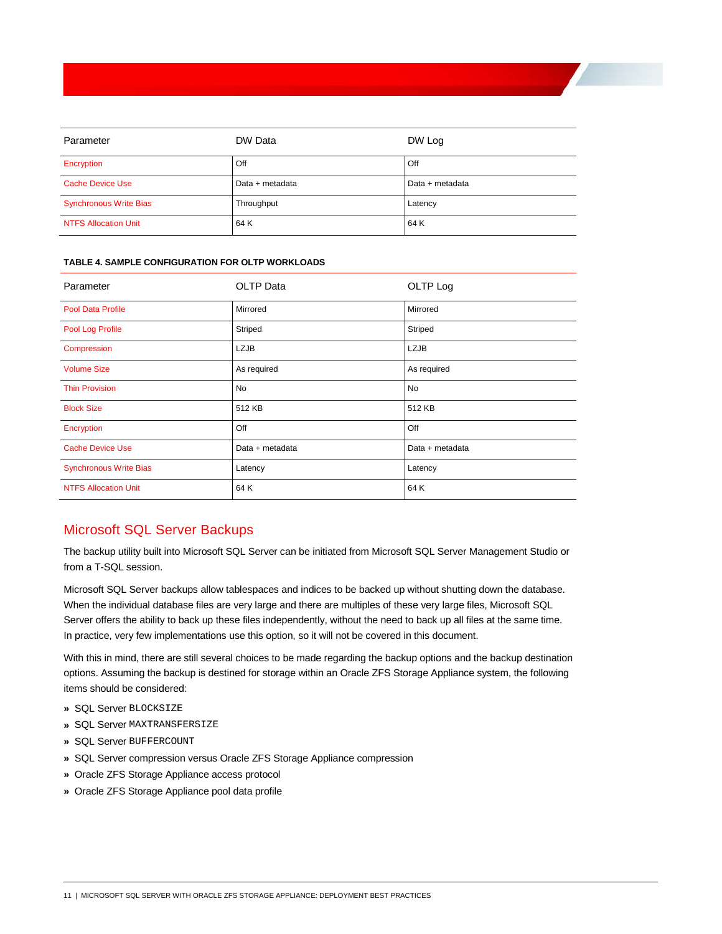| Parameter                     | DW Data         | DW Log          |
|-------------------------------|-----------------|-----------------|
| Encryption                    | Off             | Off             |
| <b>Cache Device Use</b>       | Data + metadata | Data + metadata |
| <b>Synchronous Write Bias</b> | Throughput      | Latency         |
| <b>NTFS Allocation Unit</b>   | 64 K            | 64 K            |

#### **TABLE 4. SAMPLE CONFIGURATION FOR OLTP WORKLOADS**

| <b>OLTP</b> Data | OLTP Log        |
|------------------|-----------------|
| Mirrored         | Mirrored        |
| Striped          | Striped         |
| <b>LZJB</b>      | <b>LZJB</b>     |
| As required      | As required     |
| <b>No</b>        | No              |
| 512 KB           | 512 KB          |
| Off              | Off             |
| Data + metadata  | Data + metadata |
| Latency          | Latency         |
| 64 K             | 64 K            |
|                  |                 |

# <span id="page-13-0"></span>Microsoft SQL Server Backups

The backup utility built into Microsoft SQL Server can be initiated from Microsoft SQL Server Management Studio or from a T-SQL session.

Microsoft SQL Server backups allow tablespaces and indices to be backed up without shutting down the database. When the individual database files are very large and there are multiples of these very large files, Microsoft SQL Server offers the ability to back up these files independently, without the need to back up all files at the same time. In practice, very few implementations use this option, so it will not be covered in this document.

With this in mind, there are still several choices to be made regarding the backup options and the backup destination options. Assuming the backup is destined for storage within an Oracle ZFS Storage Appliance system, the following items should be considered:

- **»** SQL Server BLOCKSIZE
- **»** SQL Server MAXTRANSFERSIZE
- **»** SQL Server BUFFERCOUNT
- **»** SQL Server compression versus Oracle ZFS Storage Appliance compression
- **»** Oracle ZFS Storage Appliance access protocol
- **»** Oracle ZFS Storage Appliance pool data profile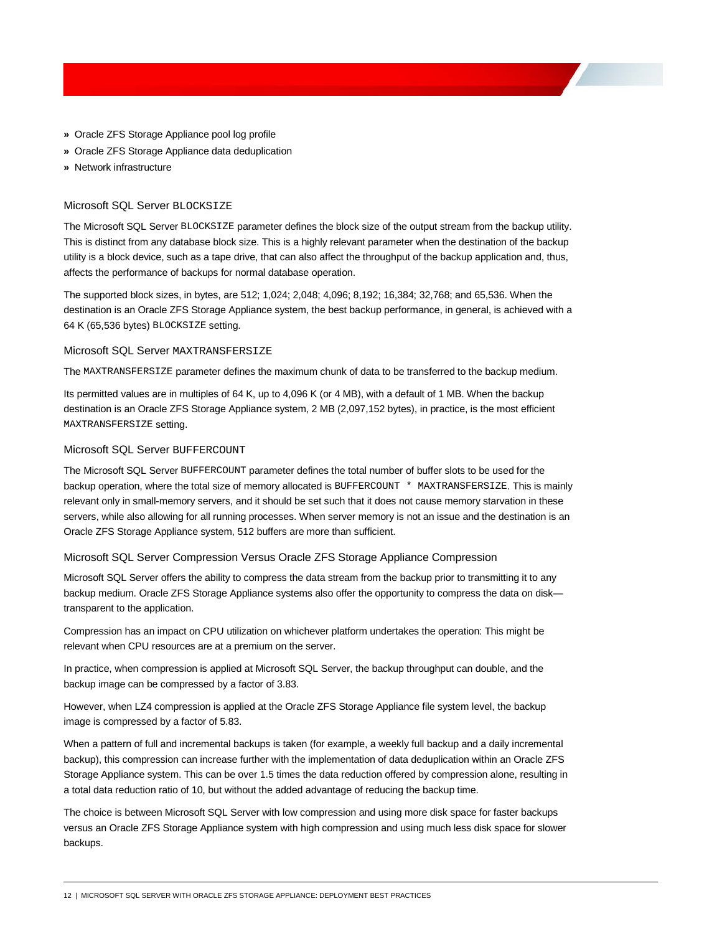- **»** Oracle ZFS Storage Appliance pool log profile
- **»** Oracle ZFS Storage Appliance data deduplication
- **»** Network infrastructure

### <span id="page-14-0"></span>Microsoft SQL Server BLOCKSIZE

The Microsoft SQL Server BLOCKSIZE parameter defines the block size of the output stream from the backup utility. This is distinct from any database block size. This is a highly relevant parameter when the destination of the backup utility is a block device, such as a tape drive, that can also affect the throughput of the backup application and, thus, affects the performance of backups for normal database operation.

The supported block sizes, in bytes, are 512; 1,024; 2,048; 4,096; 8,192; 16,384; 32,768; and 65,536. When the destination is an Oracle ZFS Storage Appliance system, the best backup performance, in general, is achieved with a 64 K (65,536 bytes) BLOCKSIZE setting.

#### <span id="page-14-1"></span>Microsoft SQL Server MAXTRANSFERSIZE

The MAXTRANSFERSIZE parameter defines the maximum chunk of data to be transferred to the backup medium.

Its permitted values are in multiples of 64 K, up to 4,096 K (or 4 MB), with a default of 1 MB. When the backup destination is an Oracle ZFS Storage Appliance system, 2 MB (2,097,152 bytes), in practice, is the most efficient MAXTRANSFERSIZE setting.

### <span id="page-14-2"></span>Microsoft SQL Server BUFFERCOUNT

The Microsoft SQL Server BUFFERCOUNT parameter defines the total number of buffer slots to be used for the backup operation, where the total size of memory allocated is BUFFERCOUNT \* MAXTRANSFERSIZE. This is mainly relevant only in small-memory servers, and it should be set such that it does not cause memory starvation in these servers, while also allowing for all running processes. When server memory is not an issue and the destination is an Oracle ZFS Storage Appliance system, 512 buffers are more than sufficient.

### <span id="page-14-3"></span>Microsoft SQL Server Compression Versus Oracle ZFS Storage Appliance Compression

Microsoft SQL Server offers the ability to compress the data stream from the backup prior to transmitting it to any backup medium. Oracle ZFS Storage Appliance systems also offer the opportunity to compress the data on disk transparent to the application.

Compression has an impact on CPU utilization on whichever platform undertakes the operation: This might be relevant when CPU resources are at a premium on the server.

In practice, when compression is applied at Microsoft SQL Server, the backup throughput can double, and the backup image can be compressed by a factor of 3.83.

However, when LZ4 compression is applied at the Oracle ZFS Storage Appliance file system level, the backup image is compressed by a factor of 5.83.

When a pattern of full and incremental backups is taken (for example, a weekly full backup and a daily incremental backup), this compression can increase further with the implementation of data deduplication within an Oracle ZFS Storage Appliance system. This can be over 1.5 times the data reduction offered by compression alone, resulting in a total data reduction ratio of 10, but without the added advantage of reducing the backup time.

The choice is between Microsoft SQL Server with low compression and using more disk space for faster backups versus an Oracle ZFS Storage Appliance system with high compression and using much less disk space for slower backups.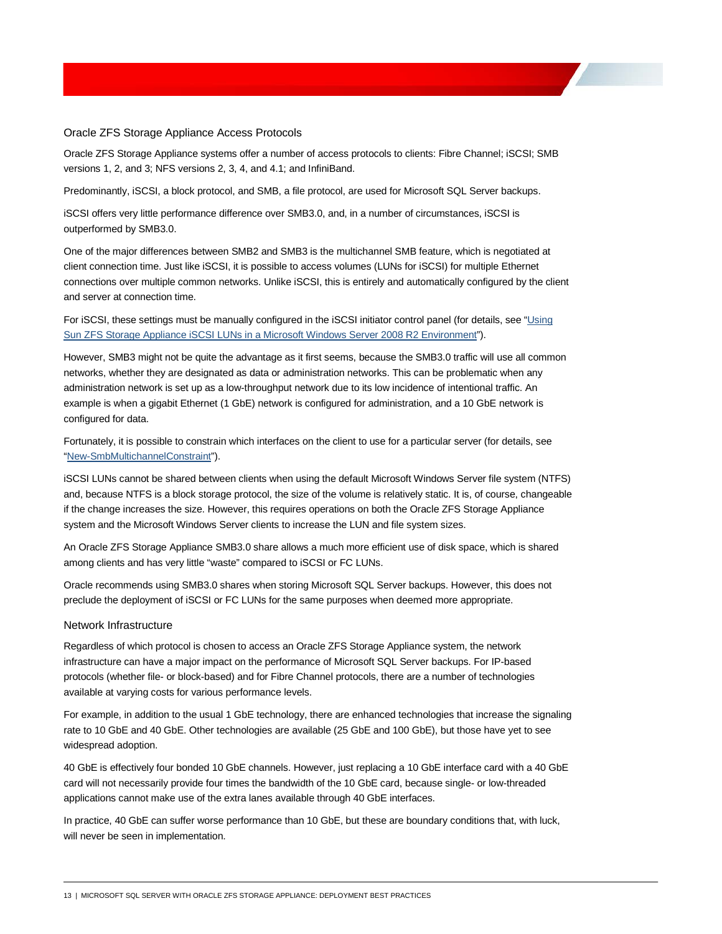#### <span id="page-15-0"></span>Oracle ZFS Storage Appliance Access Protocols

Oracle ZFS Storage Appliance systems offer a number of access protocols to clients: Fibre Channel; iSCSI; SMB versions 1, 2, and 3; NFS versions 2, 3, 4, and 4.1; and InfiniBand.

Predominantly, iSCSI, a block protocol, and SMB, a file protocol, are used for Microsoft SQL Server backups.

iSCSI offers very little performance difference over SMB3.0, and, in a number of circumstances, iSCSI is outperformed by SMB3.0.

One of the major differences between SMB2 and SMB3 is the multichannel SMB feature, which is negotiated at client connection time. Just like iSCSI, it is possible to access volumes (LUNs for iSCSI) for multiple Ethernet connections over multiple common networks. Unlike iSCSI, this is entirely and automatically configured by the client and server at connection time.

For iSCSI, these settings must be manually configured in the iSCSI initiator control panel (for details, see ["Using](http://www.oracle.com/technetwork/articles/servers-storage-admin/o11-129-iscsi-luns-windows-522255.html)  [Sun ZFS Storage Appliance iSCSI LUNs in a Microsoft Windows Server 2008 R2 Environment"](http://www.oracle.com/technetwork/articles/servers-storage-admin/o11-129-iscsi-luns-windows-522255.html)).

However, SMB3 might not be quite the advantage as it first seems, because the SMB3.0 traffic will use all common networks, whether they are designated as data or administration networks. This can be problematic when any administration network is set up as a low-throughput network due to its low incidence of intentional traffic. An example is when a gigabit Ethernet (1 GbE) network is configured for administration, and a 10 GbE network is configured for data.

Fortunately, it is possible to constrain which interfaces on the client to use for a particular server (for details, see ["New-SmbMultichannelConstraint"](https://technet.microsoft.com/en-us/itpro/powershell/windows/smb/share/new-smbmultichannelconstraint)).

iSCSI LUNs cannot be shared between clients when using the default Microsoft Windows Server file system (NTFS) and, because NTFS is a block storage protocol, the size of the volume is relatively static. It is, of course, changeable if the change increases the size. However, this requires operations on both the Oracle ZFS Storage Appliance system and the Microsoft Windows Server clients to increase the LUN and file system sizes.

An Oracle ZFS Storage Appliance SMB3.0 share allows a much more efficient use of disk space, which is shared among clients and has very little "waste" compared to iSCSI or FC LUNs.

Oracle recommends using SMB3.0 shares when storing Microsoft SQL Server backups. However, this does not preclude the deployment of iSCSI or FC LUNs for the same purposes when deemed more appropriate.

### <span id="page-15-1"></span>Network Infrastructure

Regardless of which protocol is chosen to access an Oracle ZFS Storage Appliance system, the network infrastructure can have a major impact on the performance of Microsoft SQL Server backups. For IP-based protocols (whether file- or block-based) and for Fibre Channel protocols, there are a number of technologies available at varying costs for various performance levels.

For example, in addition to the usual 1 GbE technology, there are enhanced technologies that increase the signaling rate to 10 GbE and 40 GbE. Other technologies are available (25 GbE and 100 GbE), but those have yet to see widespread adoption.

40 GbE is effectively four bonded 10 GbE channels. However, just replacing a 10 GbE interface card with a 40 GbE card will not necessarily provide four times the bandwidth of the 10 GbE card, because single- or low-threaded applications cannot make use of the extra lanes available through 40 GbE interfaces.

In practice, 40 GbE can suffer worse performance than 10 GbE, but these are boundary conditions that, with luck, will never be seen in implementation.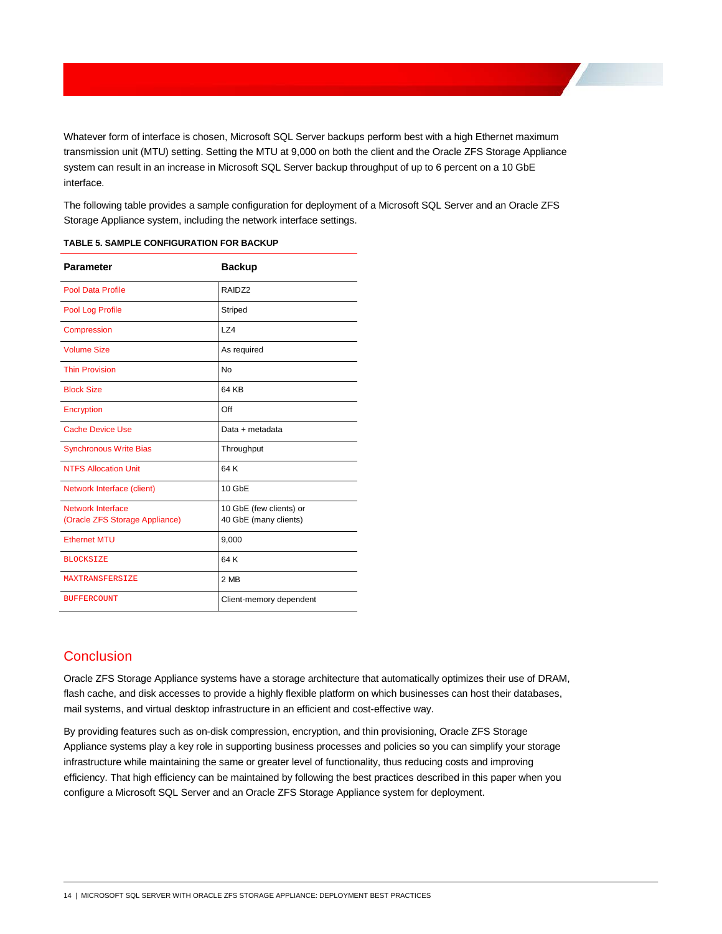Whatever form of interface is chosen, Microsoft SQL Server backups perform best with a high Ethernet maximum transmission unit (MTU) setting. Setting the MTU at 9,000 on both the client and the Oracle ZFS Storage Appliance system can result in an increase in Microsoft SQL Server backup throughput of up to 6 percent on a 10 GbE interface.

The following table provides a sample configuration for deployment of a Microsoft SQL Server and an Oracle ZFS Storage Appliance system, including the network interface settings.

| <b>Parameter</b>                                    | <b>Backup</b>                                    |
|-----------------------------------------------------|--------------------------------------------------|
| Pool Data Profile                                   | RAIDZ2                                           |
| Pool Log Profile                                    | Striped                                          |
| Compression                                         | LZ4                                              |
| <b>Volume Size</b>                                  | As required                                      |
| <b>Thin Provision</b>                               | No                                               |
| <b>Block Size</b>                                   | 64 KB                                            |
| Encryption                                          | Off                                              |
| <b>Cache Device Use</b>                             | Data + metadata                                  |
| <b>Synchronous Write Bias</b>                       | Throughput                                       |
| <b>NTFS Allocation Unit</b>                         | 64 K                                             |
| Network Interface (client)                          | 10 GbE                                           |
| Network Interface<br>(Oracle ZFS Storage Appliance) | 10 GbE (few clients) or<br>40 GbE (many clients) |
| <b>Ethernet MTU</b>                                 | 9,000                                            |
| <b>BLOCKSTZE</b>                                    | 64 K                                             |
| <b>MAXTRANSFERSIZE</b>                              | 2 MB                                             |
| <b>BUFFERCOUNT</b>                                  | Client-memory dependent                          |

| TABLE 5. SAMPLE CONFIGURATION FOR BACKUP |  |  |
|------------------------------------------|--|--|
|------------------------------------------|--|--|

# <span id="page-16-0"></span>**Conclusion**

Oracle ZFS Storage Appliance systems have a storage architecture that automatically optimizes their use of DRAM, flash cache, and disk accesses to provide a highly flexible platform on which businesses can host their databases, mail systems, and virtual desktop infrastructure in an efficient and cost-effective way.

By providing features such as on-disk compression, encryption, and thin provisioning, Oracle ZFS Storage Appliance systems play a key role in supporting business processes and policies so you can simplify your storage infrastructure while maintaining the same or greater level of functionality, thus reducing costs and improving efficiency. That high efficiency can be maintained by following the best practices described in this paper when you configure a Microsoft SQL Server and an Oracle ZFS Storage Appliance system for deployment.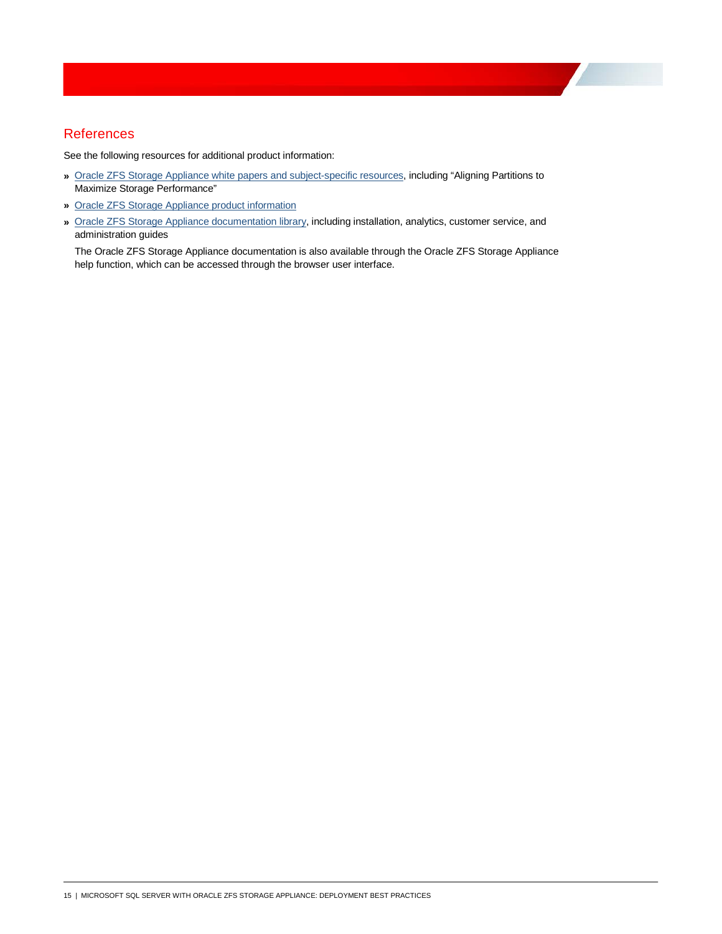# <span id="page-17-0"></span>References

See the following resources for additional product information:

- **»** [Oracle ZFS Storage Appliance white papers and subject-specific resources,](http://www.oracle.com/technetwork/server-storage/sun-unified-storage/documentation/index.html) including "Aligning Partitions to Maximize Storage Performance"
- **»** [Oracle ZFS Storage Appliance product information](https://www.oracle.com/storage/nas/index.html)
- **»** [Oracle ZFS Storage Appliance documentation library,](http://docs.oracle.com/en/storage/) including installation, analytics, customer service, and administration guides

The Oracle ZFS Storage Appliance documentation is also available through the Oracle ZFS Storage Appliance help function, which can be accessed through the browser user interface.